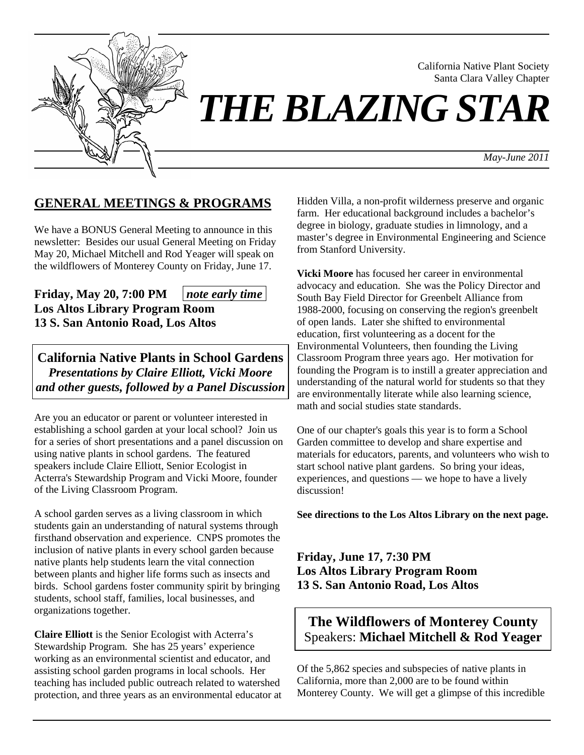

California Native Plant Society Santa Clara Valley Chapter

# *THE BLAZING STAR*

*May-June 2011*

# **GENERAL MEETINGS & PROGRAMS**

We have a BONUS General Meeting to announce in this newsletter: Besides our usual General Meeting on Friday May 20, Michael Mitchell and Rod Yeager will speak on the wildflowers of Monterey County on Friday, June 17.

**Friday, May 20, 7:00 PM**  $\mid$  *note early time* **Los Altos Library Program Room 13 S. San Antonio Road, Los Altos** 

**California Native Plants in School Gardens**  *Presentations by Claire Elliott, Vicki Moore and other guests, followed by a Panel Discussion*

Are you an educator or parent or volunteer interested in establishing a school garden at your local school? Join us for a series of short presentations and a panel discussion on using native plants in school gardens. The featured speakers include Claire Elliott, Senior Ecologist in Acterra's Stewardship Program and Vicki Moore, founder of the Living Classroom Program.

A school garden serves as a living classroom in which students gain an understanding of natural systems through firsthand observation and experience. CNPS promotes the inclusion of native plants in every school garden because native plants help students learn the vital connection between plants and higher life forms such as insects and birds. School gardens foster community spirit by bringing students, school staff, families, local businesses, and organizations together.

**Claire Elliott** is the Senior Ecologist with Acterra's Stewardship Program. She has 25 years' experience working as an environmental scientist and educator, and assisting school garden programs in local schools. Her teaching has included public outreach related to watershed protection, and three years as an environmental educator at Hidden Villa, a non-profit wilderness preserve and organic farm. Her educational background includes a bachelor's degree in biology, graduate studies in limnology, and a master's degree in Environmental Engineering and Science from Stanford University.

**Vicki Moore** has focused her career in environmental advocacy and education. She was the Policy Director and South Bay Field Director for Greenbelt Alliance from 1988-2000, focusing on conserving the region's greenbelt of open lands. Later she shifted to environmental education, first volunteering as a docent for the Environmental Volunteers, then founding the Living Classroom Program three years ago. Her motivation for founding the Program is to instill a greater appreciation and understanding of the natural world for students so that they are environmentally literate while also learning science, math and social studies state standards.

One of our chapter's goals this year is to form a School Garden committee to develop and share expertise and materials for educators, parents, and volunteers who wish to start school native plant gardens. So bring your ideas, experiences, and questions — we hope to have a lively discussion!

**See directions to the Los Altos Library on the next page.**

**Friday, June 17, 7:30 PM Los Altos Library Program Room 13 S. San Antonio Road, Los Altos** 

# **The Wildflowers of Monterey County**  Speakers: **Michael Mitchell & Rod Yeager**

Of the 5,862 species and subspecies of native plants in California, more than 2,000 are to be found within Monterey County. We will get a glimpse of this incredible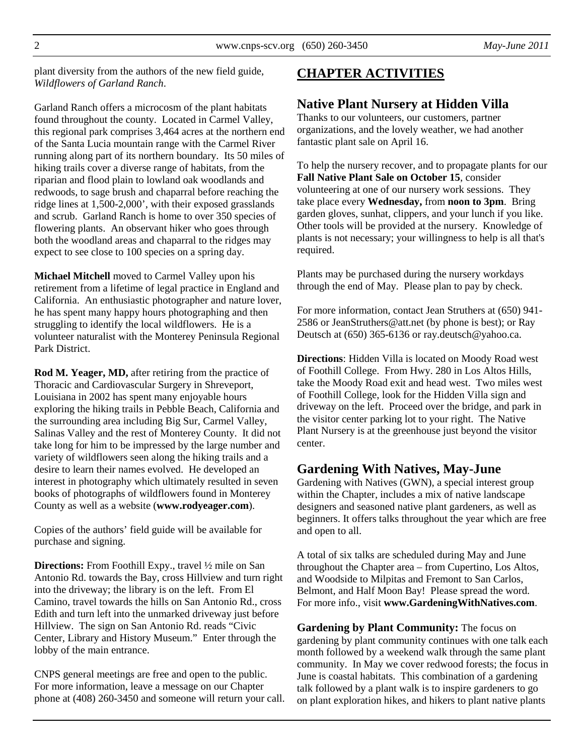plant diversity from the authors of the new field guide, *Wildflowers of Garland Ranch*.

Garland Ranch offers a microcosm of the plant habitats found throughout the county. Located in Carmel Valley, this regional park comprises 3,464 acres at the northern end of the Santa Lucia mountain range with the Carmel River running along part of its northern boundary. Its 50 miles of hiking trails cover a diverse range of habitats, from the riparian and flood plain to lowland oak woodlands and redwoods, to sage brush and chaparral before reaching the ridge lines at 1,500-2,000', with their exposed grasslands and scrub. Garland Ranch is home to over 350 species of flowering plants. An observant hiker who goes through both the woodland areas and chaparral to the ridges may expect to see close to 100 species on a spring day.

**Michael Mitchell** moved to Carmel Valley upon his retirement from a lifetime of legal practice in England and California. An enthusiastic photographer and nature lover, he has spent many happy hours photographing and then struggling to identify the local wildflowers. He is a volunteer naturalist with the Monterey Peninsula Regional Park District.

**Rod M. Yeager, MD,** after retiring from the practice of Thoracic and Cardiovascular Surgery in Shreveport, Louisiana in 2002 has spent many enjoyable hours exploring the hiking trails in Pebble Beach, California and the surrounding area including Big Sur, Carmel Valley, Salinas Valley and the rest of Monterey County. It did not take long for him to be impressed by the large number and variety of wildflowers seen along the hiking trails and a desire to learn their names evolved. He developed an interest in photography which ultimately resulted in seven books of photographs of wildflowers found in Monterey County as well as a website (**www.rodyeager.com**).

Copies of the authors' field guide will be available for purchase and signing.

**Directions:** From Foothill Expy., travel ½ mile on San Antonio Rd. towards the Bay, cross Hillview and turn right into the driveway; the library is on the left. From El Camino, travel towards the hills on San Antonio Rd., cross Edith and turn left into the unmarked driveway just before Hillview. The sign on San Antonio Rd. reads "Civic Center, Library and History Museum." Enter through the lobby of the main entrance.

CNPS general meetings are free and open to the public. For more information, leave a message on our Chapter phone at (408) 260-3450 and someone will return your call.

# **CHAPTER ACTIVITIES**

## **Native Plant Nursery at Hidden Villa**

Thanks to our volunteers, our customers, partner organizations, and the lovely weather, we had another fantastic plant sale on April 16.

To help the nursery recover, and to propagate plants for our **Fall Native Plant Sale on October 15**, consider volunteering at one of our nursery work sessions. They take place every **Wednesday,** from **noon to 3pm**. Bring garden gloves, sunhat, clippers, and your lunch if you like. Other tools will be provided at the nursery. Knowledge of plants is not necessary; your willingness to help is all that's required.

Plants may be purchased during the nursery workdays through the end of May. Please plan to pay by check.

For more information, contact Jean Struthers at (650) 941- 2586 or JeanStruthers@att.net (by phone is best); or Ray Deutsch at (650) 365-6136 or ray.deutsch@yahoo.ca.

**Directions**: Hidden Villa is located on Moody Road west of Foothill College. From Hwy. 280 in Los Altos Hills, take the Moody Road exit and head west. Two miles west of Foothill College, look for the Hidden Villa sign and driveway on the left. Proceed over the bridge, and park in the visitor center parking lot to your right. The Native Plant Nursery is at the greenhouse just beyond the visitor center.

## **Gardening With Natives, May-June**

Gardening with Natives (GWN), a special interest group within the Chapter, includes a mix of native landscape designers and seasoned native plant gardeners, as well as beginners. It offers talks throughout the year which are free and open to all.

A total of six talks are scheduled during May and June throughout the Chapter area – from Cupertino, Los Altos, and Woodside to Milpitas and Fremont to San Carlos, Belmont, and Half Moon Bay! Please spread the word. For more info., visit **www.GardeningWithNatives.com**.

**Gardening by Plant Community:** The focus on gardening by plant community continues with one talk each month followed by a weekend walk through the same plant community. In May we cover redwood forests; the focus in June is coastal habitats. This combination of a gardening talk followed by a plant walk is to inspire gardeners to go on plant exploration hikes, and hikers to plant native plants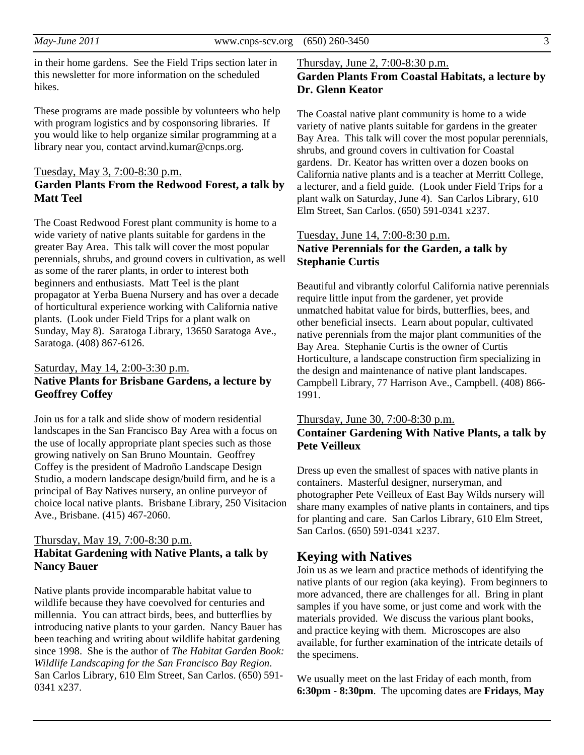in their home gardens. See the Field Trips section later in this newsletter for more information on the scheduled hikes.

These programs are made possible by volunteers who help with program logistics and by cosponsoring libraries. If you would like to help organize similar programming at a library near you, contact arvind.kumar@cnps.org.

#### Tuesday, May 3, 7:00-8:30 p.m.

## **Garden Plants From the Redwood Forest, a talk by Matt Teel**

The Coast Redwood Forest plant community is home to a wide variety of native plants suitable for gardens in the greater Bay Area. This talk will cover the most popular perennials, shrubs, and ground covers in cultivation, as well as some of the rarer plants, in order to interest both beginners and enthusiasts. Matt Teel is the plant propagator at Yerba Buena Nursery and has over a decade of horticultural experience working with California native plants. (Look under Field Trips for a plant walk on Sunday, May 8). Saratoga Library, 13650 Saratoga Ave., Saratoga. (408) 867-6126.

## Saturday, May 14, 2:00-3:30 p.m. **Native Plants for Brisbane Gardens, a lecture by Geoffrey Coffey**

Join us for a talk and slide show of modern residential landscapes in the San Francisco Bay Area with a focus on the use of locally appropriate plant species such as those growing natively on San Bruno Mountain. Geoffrey Coffey is the president of Madroño Landscape Design Studio, a modern landscape design/build firm, and he is a principal of Bay Natives nursery, an online purveyor of choice local native plants. Brisbane Library, 250 Visitacion Ave., Brisbane. (415) 467-2060.

## Thursday, May 19, 7:00-8:30 p.m. **Habitat Gardening with Native Plants, a talk by Nancy Bauer**

Native plants provide incomparable habitat value to wildlife because they have coevolved for centuries and millennia. You can attract birds, bees, and butterflies by introducing native plants to your garden. Nancy Bauer has been teaching and writing about wildlife habitat gardening since 1998. She is the author of *The Habitat Garden Book: Wildlife Landscaping for the San Francisco Bay Region*. San Carlos Library, 610 Elm Street, San Carlos. (650) 591- 0341 x237.

#### Thursday, June 2, 7:00-8:30 p.m.

## **Garden Plants From Coastal Habitats, a lecture by Dr. Glenn Keator**

The Coastal native plant community is home to a wide variety of native plants suitable for gardens in the greater Bay Area. This talk will cover the most popular perennials, shrubs, and ground covers in cultivation for Coastal gardens. Dr. Keator has written over a dozen books on California native plants and is a teacher at Merritt College, a lecturer, and a field guide. (Look under Field Trips for a plant walk on Saturday, June 4). San Carlos Library, 610 Elm Street, San Carlos. (650) 591-0341 x237.

## Tuesday, June 14, 7:00-8:30 p.m. **Native Perennials for the Garden, a talk by Stephanie Curtis**

Beautiful and vibrantly colorful California native perennials require little input from the gardener, yet provide unmatched habitat value for birds, butterflies, bees, and other beneficial insects. Learn about popular, cultivated native perennials from the major plant communities of the Bay Area. Stephanie Curtis is the owner of Curtis Horticulture, a landscape construction firm specializing in the design and maintenance of native plant landscapes. Campbell Library, 77 Harrison Ave., Campbell. (408) 866- 1991.

## Thursday, June 30, 7:00-8:30 p.m. **Container Gardening With Native Plants, a talk by Pete Veilleux**

Dress up even the smallest of spaces with native plants in containers. Masterful designer, nurseryman, and photographer Pete Veilleux of East Bay Wilds nursery will share many examples of native plants in containers, and tips for planting and care. San Carlos Library, 610 Elm Street, San Carlos. (650) 591-0341 x237.

## **Keying with Natives**

Join us as we learn and practice methods of identifying the native plants of our region (aka keying). From beginners to more advanced, there are challenges for all. Bring in plant samples if you have some, or just come and work with the materials provided. We discuss the various plant books, and practice keying with them. Microscopes are also available, for further examination of the intricate details of the specimens.

We usually meet on the last Friday of each month, from **6:30pm - 8:30pm**. The upcoming dates are **Fridays**, **May**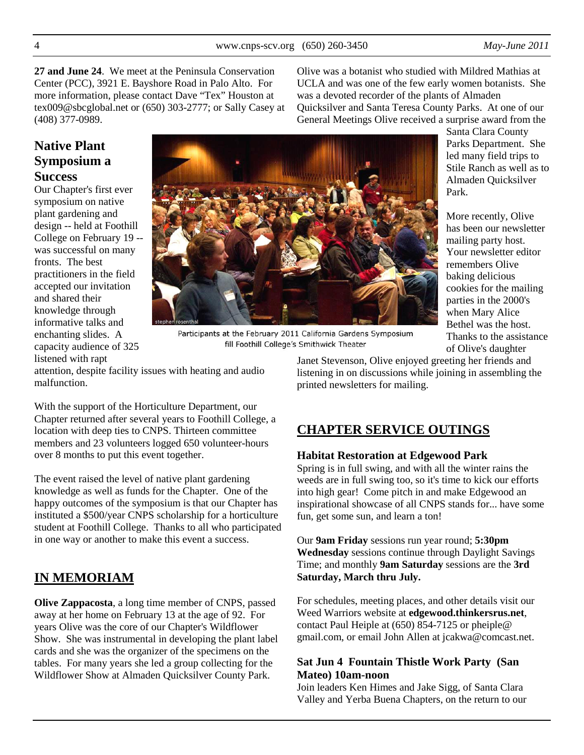Your newsletter editor

Thanks to the assistance of Olive's daughter

**27 and June 24**. We meet at the Peninsula Conservation Center (PCC), 3921 E. Bayshore Road in Palo Alto. For more information, please contact Dave "Tex" Houston at tex009@sbcglobal.net or (650) 303-2777; or Sally Casey at (408) 377-0989.

Olive was a botanist who studied with Mildred Mathias at UCLA and was one of the few early women botanists. She was a devoted recorder of the plants of Almaden Quicksilver and Santa Teresa County Parks. At one of our General Meetings Olive received a surprise award from the

# **Native Plant Symposium a Success**

Our Chapter's first ever symposium on native plant gardening and design -- held at Foothill College on February 19 - was successful on many fronts. The best practitioners in the field accepted our invitation and shared their knowledge through informative talks and enchanting slides. A capacity audience of 325 listened with rapt



Participants at the February 2011 California Gardens Symposium fill Foothill College's Smithwick Theater

attention, despite facility issues with heating and audio malfunction.

With the support of the Horticulture Department, our Chapter returned after several years to Foothill College, a location with deep ties to CNPS. Thirteen committee members and 23 volunteers logged 650 volunteer-hours over 8 months to put this event together.

The event raised the level of native plant gardening knowledge as well as funds for the Chapter. One of the happy outcomes of the symposium is that our Chapter has instituted a \$500/year CNPS scholarship for a horticulture student at Foothill College. Thanks to all who participated in one way or another to make this event a success.

# **IN MEMORIAM**

**Olive Zappacosta**, a long time member of CNPS, passed away at her home on February 13 at the age of 92. For years Olive was the core of our Chapter's Wildflower Show. She was instrumental in developing the plant label cards and she was the organizer of the specimens on the tables. For many years she led a group collecting for the Wildflower Show at Almaden Quicksilver County Park.

Janet Stevenson, Olive enjoyed greeting her friends and listening in on discussions while joining in assembling the printed newsletters for mailing.

# **CHAPTER SERVICE OUTINGS**

## **Habitat Restoration at Edgewood Park**

Spring is in full swing, and with all the winter rains the weeds are in full swing too, so it's time to kick our efforts into high gear! Come pitch in and make Edgewood an inspirational showcase of all CNPS stands for... have some fun, get some sun, and learn a ton!

Our **9am Friday** sessions run year round; **5:30pm Wednesday** sessions continue through Daylight Savings Time; and monthly **9am Saturday** sessions are the **3rd Saturday, March thru July.**

For schedules, meeting places, and other details visit our Weed Warriors website at **edgewood.thinkersrus.net**, contact Paul Heiple at (650) 854-7125 or pheiple@ gmail.com, or email John Allen at jcakwa@comcast.net.

## **Sat Jun 4 Fountain Thistle Work Party (San Mateo) 10am-noon**

Join leaders Ken Himes and Jake Sigg, of Santa Clara Valley and Yerba Buena Chapters, on the return to our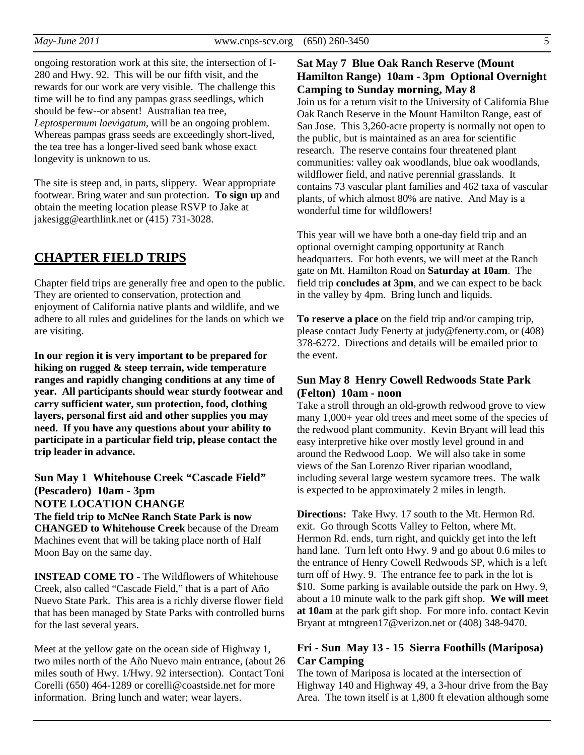ongoing restoration work at this site, the intersection of I-280 and Hwy. 92. This will be our fifth visit, and the rewards for our work are very visible. The challenge this time will be to find any pampas grass seedlings, which should be few--or absent! Australian tea tree, *Leptospermum laevigatum*, will be an ongoing problem. Whereas pampas grass seeds are exceedingly short-lived, the tea tree has a longer-lived seed bank whose exact longevity is unknown to us.

The site is steep and, in parts, slippery. Wear appropriate footwear. Bring water and sun protection. **To sign up** and obtain the meeting location please RSVP to Jake at jakesigg@earthlink.net or (415) 731-3028.

## **CHAPTER FIELD TRIPS**

Chapter field trips are generally free and open to the public. They are oriented to conservation, protection and enjoyment of California native plants and wildlife, and we adhere to all rules and guidelines for the lands on which we are visiting.

**In our region it is very important to be prepared for hiking on rugged & steep terrain, wide temperature ranges and rapidly changing conditions at any time of year. All participants should wear sturdy footwear and carry sufficient water, sun protection, food, clothing layers, personal first aid and other supplies you may need. If you have any questions about your ability to participate in a particular field trip, please contact the trip leader in advance.** 

**Sun May 1 Whitehouse Creek "Cascade Field" (Pescadero) 10am - 3pm NOTE LOCATION CHANGE The field trip to McNee Ranch State Park is now** 

**CHANGED to Whitehouse Creek** because of the Dream Machines event that will be taking place north of Half Moon Bay on the same day.

**INSTEAD COME TO** - The Wildflowers of Whitehouse Creek, also called "Cascade Field," that is a part of Año Nuevo State Park. This area is a richly diverse flower field that has been managed by State Parks with controlled burns for the last several years.

Meet at the yellow gate on the ocean side of Highway 1, two miles north of the Año Nuevo main entrance, (about 26 miles south of Hwy. 1/Hwy. 92 intersection). Contact Toni Corelli (650) 464-1289 or corelli@coastside.net for more information. Bring lunch and water; wear layers.

## **Sat May 7 Blue Oak Ranch Reserve (Mount Hamilton Range) 10am - 3pm Optional Overnight Camping to Sunday morning, May 8**

Join us for a return visit to the University of California Blue Oak Ranch Reserve in the Mount Hamilton Range, east of San Jose. This 3,260-acre property is normally not open to the public, but is maintained as an area for scientific research. The reserve contains four threatened plant communities: valley oak woodlands, blue oak woodlands, wildflower field, and native perennial grasslands. It contains 73 vascular plant families and 462 taxa of vascular plants, of which almost 80% are native. And May is a wonderful time for wildflowers!

This year will we have both a one-day field trip and an optional overnight camping opportunity at Ranch headquarters. For both events, we will meet at the Ranch gate on Mt. Hamilton Road on **Saturday at 10am**. The field trip **concludes at 3pm**, and we can expect to be back in the valley by 4pm. Bring lunch and liquids.

**To reserve a place** on the field trip and/or camping trip, please contact Judy Fenerty at judy@fenerty.com, or (408) 378-6272. Directions and details will be emailed prior to the event.

#### **Sun May 8 Henry Cowell Redwoods State Park (Felton) 10am - noon**

Take a stroll through an old-growth redwood grove to view many 1,000+ year old trees and meet some of the species of the redwood plant community. Kevin Bryant will lead this easy interpretive hike over mostly level ground in and around the Redwood Loop. We will also take in some views of the San Lorenzo River riparian woodland, including several large western sycamore trees. The walk is expected to be approximately 2 miles in length.

**Directions:** Take Hwy. 17 south to the Mt. Hermon Rd. exit. Go through Scotts Valley to Felton, where Mt. Hermon Rd. ends, turn right, and quickly get into the left hand lane. Turn left onto Hwy. 9 and go about 0.6 miles to the entrance of Henry Cowell Redwoods SP, which is a left turn off of Hwy. 9. The entrance fee to park in the lot is \$10. Some parking is available outside the park on Hwy. 9, about a 10 minute walk to the park gift shop. **We will meet at 10am** at the park gift shop. For more info. contact Kevin Bryant at mtngreen17@verizon.net or (408) 348-9470.

## **Fri - Sun May 13 - 15 Sierra Foothills (Mariposa) Car Camping**

The town of Mariposa is located at the intersection of Highway 140 and Highway 49, a 3-hour drive from the Bay Area. The town itself is at 1,800 ft elevation although some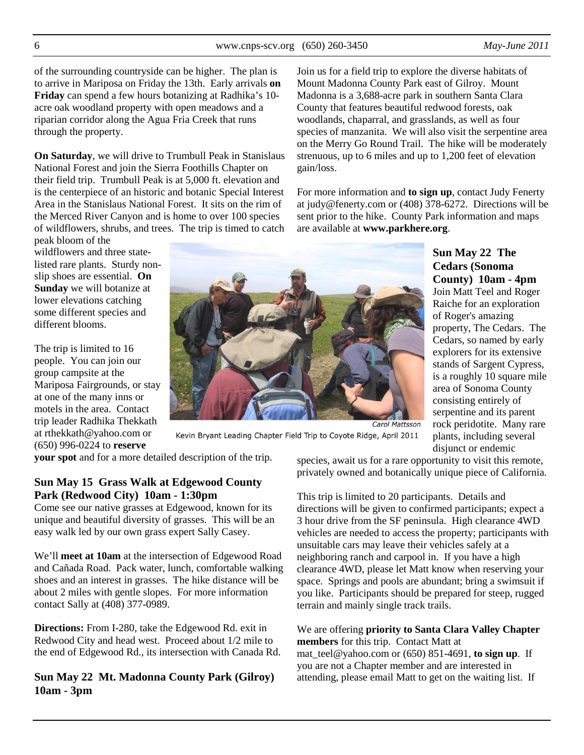of the surrounding countryside can be higher. The plan is to arrive in Mariposa on Friday the 13th. Early arrivals **on Friday** can spend a few hours botanizing at Radhika's 10 acre oak woodland property with open meadows and a riparian corridor along the Agua Fria Creek that runs through the property.

**On Saturday**, we will drive to Trumbull Peak in Stanislaus National Forest and join the Sierra Foothills Chapter on their field trip. Trumbull Peak is at 5,000 ft. elevation and is the centerpiece of an historic and botanic Special Interest Area in the Stanislaus National Forest. It sits on the rim of the Merced River Canyon and is home to over 100 species of wildflowers, shrubs, and trees. The trip is timed to catch

peak bloom of the wildflowers and three statelisted rare plants. Sturdy nonslip shoes are essential. **On Sunday** we will botanize at lower elevations catching some different species and different blooms.

The trip is limited to 16 people. You can join our group campsite at the Mariposa Fairgrounds, or stay at one of the many inns or motels in the area. Contact trip leader Radhika Thekkath at rthekkath@yahoo.com or (650) 996-0224 to **reserve** 



Kevin Bryant Leading Chapter Field Trip to Coyote Ridge, April 2011

**your spot** and for a more detailed description of the trip.

## **Sun May 15 Grass Walk at Edgewood County Park (Redwood City) 10am - 1:30pm**

Come see our native grasses at Edgewood, known for its unique and beautiful diversity of grasses. This will be an easy walk led by our own grass expert Sally Casey.

We'll **meet at 10am** at the intersection of Edgewood Road and Cañada Road. Pack water, lunch, comfortable walking shoes and an interest in grasses. The hike distance will be about 2 miles with gentle slopes. For more information contact Sally at (408) 377-0989.

**Directions:** From I-280, take the Edgewood Rd. exit in Redwood City and head west. Proceed about 1/2 mile to the end of Edgewood Rd., its intersection with Canada Rd.

**Sun May 22 Mt. Madonna County Park (Gilroy) 10am - 3pm**

Join us for a field trip to explore the diverse habitats of Mount Madonna County Park east of Gilroy. Mount Madonna is a 3,688-acre park in southern Santa Clara County that features beautiful redwood forests, oak woodlands, chaparral, and grasslands, as well as four species of manzanita. We will also visit the serpentine area on the Merry Go Round Trail. The hike will be moderately strenuous, up to 6 miles and up to 1,200 feet of elevation gain/loss.

For more information and **to sign up**, contact Judy Fenerty at judy@fenerty.com or (408) 378-6272. Directions will be sent prior to the hike. County Park information and maps are available at **www.parkhere.org**.

> **Cedars (Sonoma County) 10am - 4pm**  Join Matt Teel and Roger Raiche for an exploration of Roger's amazing property, The Cedars. The Cedars, so named by early explorers for its extensive stands of Sargent Cypress, is a roughly 10 square mile area of Sonoma County consisting entirely of serpentine and its parent rock peridotite. Many rare plants, including several disjunct or endemic

**Sun May 22 The** 

species, await us for a rare opportunity to visit this remote, privately owned and botanically unique piece of California.

This trip is limited to 20 participants. Details and directions will be given to confirmed participants; expect a 3 hour drive from the SF peninsula. High clearance 4WD vehicles are needed to access the property; participants with unsuitable cars may leave their vehicles safely at a neighboring ranch and carpool in. If you have a high clearance 4WD, please let Matt know when reserving your space. Springs and pools are abundant; bring a swimsuit if you like. Participants should be prepared for steep, rugged terrain and mainly single track trails.

## We are offering **priority to Santa Clara Valley Chapter members** for this trip. Contact Matt at

mat teel@yahoo.com or  $(650)$  851-4691, **to sign up**. If you are not a Chapter member and are interested in attending, please email Matt to get on the waiting list. If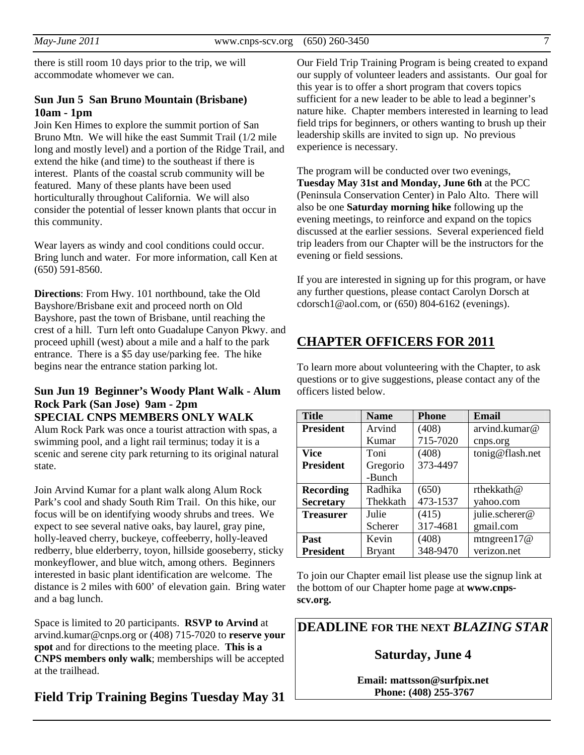there is still room 10 days prior to the trip, we will accommodate whomever we can.

## **Sun Jun 5 San Bruno Mountain (Brisbane) 10am - 1pm**

Join Ken Himes to explore the summit portion of San Bruno Mtn. We will hike the east Summit Trail (1/2 mile long and mostly level) and a portion of the Ridge Trail, and extend the hike (and time) to the southeast if there is interest. Plants of the coastal scrub community will be featured. Many of these plants have been used horticulturally throughout California. We will also consider the potential of lesser known plants that occur in this community.

Wear layers as windy and cool conditions could occur. Bring lunch and water. For more information, call Ken at (650) 591-8560.

**Directions**: From Hwy. 101 northbound, take the Old Bayshore/Brisbane exit and proceed north on Old Bayshore, past the town of Brisbane, until reaching the crest of a hill. Turn left onto Guadalupe Canyon Pkwy. and proceed uphill (west) about a mile and a half to the park entrance. There is a \$5 day use/parking fee. The hike begins near the entrance station parking lot.

### **Sun Jun 19 Beginner's Woody Plant Walk - Alum Rock Park (San Jose) 9am - 2pm SPECIAL CNPS MEMBERS ONLY WALK**

Alum Rock Park was once a tourist attraction with spas, a swimming pool, and a light rail terminus; today it is a scenic and serene city park returning to its original natural state.

Join Arvind Kumar for a plant walk along Alum Rock Park's cool and shady South Rim Trail. On this hike, our focus will be on identifying woody shrubs and trees. We expect to see several native oaks, bay laurel, gray pine, holly-leaved cherry, buckeye, coffeeberry, holly-leaved redberry, blue elderberry, toyon, hillside gooseberry, sticky monkeyflower, and blue witch, among others. Beginners interested in basic plant identification are welcome. The distance is 2 miles with 600' of elevation gain. Bring water and a bag lunch.

Space is limited to 20 participants. **RSVP to Arvind** at arvind.kumar@cnps.org or (408) 715-7020 to **reserve your spot** and for directions to the meeting place. **This is a CNPS members only walk**; memberships will be accepted at the trailhead.

## **Field Trip Training Begins Tuesday May 31**

Our Field Trip Training Program is being created to expand our supply of volunteer leaders and assistants. Our goal for this year is to offer a short program that covers topics sufficient for a new leader to be able to lead a beginner's nature hike. Chapter members interested in learning to lead field trips for beginners, or others wanting to brush up their leadership skills are invited to sign up. No previous experience is necessary.

The program will be conducted over two evenings, **Tuesday May 31st and Monday, June 6th** at the PCC (Peninsula Conservation Center) in Palo Alto. There will also be one **Saturday morning hike** following up the evening meetings, to reinforce and expand on the topics discussed at the earlier sessions. Several experienced field trip leaders from our Chapter will be the instructors for the evening or field sessions.

If you are interested in signing up for this program, or have any further questions, please contact Carolyn Dorsch at cdorsch1@aol.com, or (650) 804-6162 (evenings).

# **CHAPTER OFFICERS FOR 2011**

To learn more about volunteering with the Chapter, to ask questions or to give suggestions, please contact any of the officers listed below.

| <b>Title</b>     | <b>Name</b>   | <b>Phone</b> | Email           |
|------------------|---------------|--------------|-----------------|
| <b>President</b> | Arvind        | (408)        | arvind.kumar@   |
|                  | Kumar         | 715-7020     | cnps.org        |
| <b>Vice</b>      | Toni          | (408)        | tonig@flash.net |
| <b>President</b> | Gregorio      | 373-4497     |                 |
|                  | -Bunch        |              |                 |
| <b>Recording</b> | Radhika       | (650)        | rthekkath@      |
| <b>Secretary</b> | Thekkath      | 473-1537     | yahoo.com       |
| <b>Treasurer</b> | Julie         | (415)        | julie.scherer@  |
|                  | Scherer       | 317-4681     | gmail.com       |
| Past             | Kevin         | (408)        | mtngreen $17@$  |
| <b>President</b> | <b>Bryant</b> | 348-9470     | verizon.net     |

To join our Chapter email list please use the signup link at the bottom of our Chapter home page at **www.cnpsscv.org.**

**DEADLINE FOR THE NEXT** *BLAZING STAR* 

# **Saturday, June 4**

**Email: mattsson@surfpix.net Phone: (408) 255-3767**